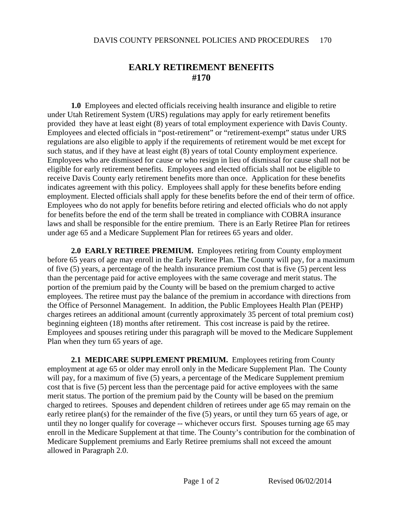## **EARLY RETIREMENT BENEFITS #170**

**1.0** Employees and elected officials receiving health insurance and eligible to retire under Utah Retirement System (URS) regulations may apply for early retirement benefits provided they have at least eight (8) years of total employment experience with Davis County. Employees and elected officials in "post-retirement" or "retirement-exempt" status under URS regulations are also eligible to apply if the requirements of retirement would be met except for such status, and if they have at least eight (8) years of total County employment experience. Employees who are dismissed for cause or who resign in lieu of dismissal for cause shall not be eligible for early retirement benefits. Employees and elected officials shall not be eligible to receive Davis County early retirement benefits more than once. Application for these benefits indicates agreement with this policy. Employees shall apply for these benefits before ending employment. Elected officials shall apply for these benefits before the end of their term of office. Employees who do not apply for benefits before retiring and elected officials who do not apply for benefits before the end of the term shall be treated in compliance with COBRA insurance laws and shall be responsible for the entire premium. There is an Early Retiree Plan for retirees under age 65 and a Medicare Supplement Plan for retirees 65 years and older.

**2.0 EARLY RETIREE PREMIUM.** Employees retiring from County employment before 65 years of age may enroll in the Early Retiree Plan. The County will pay, for a maximum of five (5) years, a percentage of the health insurance premium cost that is five (5) percent less than the percentage paid for active employees with the same coverage and merit status. The portion of the premium paid by the County will be based on the premium charged to active employees. The retiree must pay the balance of the premium in accordance with directions from the Office of Personnel Management. In addition, the Public Employees Health Plan (PEHP) charges retirees an additional amount (currently approximately 35 percent of total premium cost) beginning eighteen (18) months after retirement. This cost increase is paid by the retiree. Employees and spouses retiring under this paragraph will be moved to the Medicare Supplement Plan when they turn 65 years of age.

**2.1 MEDICARE SUPPLEMENT PREMIUM.** Employees retiring from County employment at age 65 or older may enroll only in the Medicare Supplement Plan. The County will pay, for a maximum of five (5) years, a percentage of the Medicare Supplement premium cost that is five (5) percent less than the percentage paid for active employees with the same merit status. The portion of the premium paid by the County will be based on the premium charged to retirees. Spouses and dependent children of retirees under age 65 may remain on the early retiree plan(s) for the remainder of the five (5) years, or until they turn 65 years of age, or until they no longer qualify for coverage -- whichever occurs first. Spouses turning age 65 may enroll in the Medicare Supplement at that time. The County's contribution for the combination of Medicare Supplement premiums and Early Retiree premiums shall not exceed the amount allowed in Paragraph 2.0.